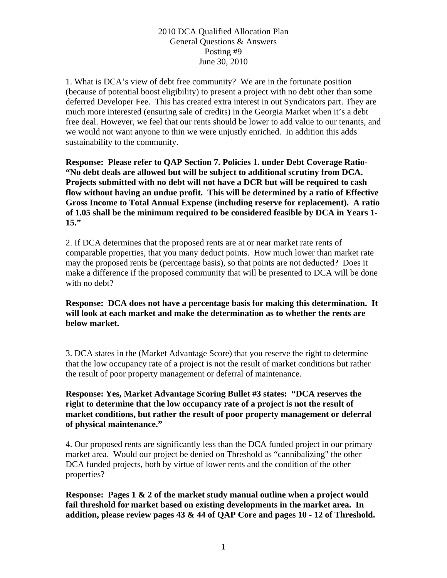1. What is DCA's view of debt free community? We are in the fortunate position (because of potential boost eligibility) to present a project with no debt other than some deferred Developer Fee. This has created extra interest in out Syndicators part. They are much more interested (ensuring sale of credits) in the Georgia Market when it's a debt free deal. However, we feel that our rents should be lower to add value to our tenants, and we would not want anyone to thin we were unjustly enriched. In addition this adds sustainability to the community.

**Response: Please refer to QAP Section 7. Policies 1. under Debt Coverage Ratio- "No debt deals are allowed but will be subject to additional scrutiny from DCA. Projects submitted with no debt will not have a DCR but will be required to cash flow without having an undue profit. This will be determined by a ratio of Effective Gross Income to Total Annual Expense (including reserve for replacement). A ratio of 1.05 shall be the minimum required to be considered feasible by DCA in Years 1- 15."** 

2. If DCA determines that the proposed rents are at or near market rate rents of comparable properties, that you many deduct points. How much lower than market rate may the proposed rents be (percentage basis), so that points are not deducted? Does it make a difference if the proposed community that will be presented to DCA will be done with no debt?

**Response: DCA does not have a percentage basis for making this determination. It will look at each market and make the determination as to whether the rents are below market.** 

3. DCA states in the (Market Advantage Score) that you reserve the right to determine that the low occupancy rate of a project is not the result of market conditions but rather the result of poor property management or deferral of maintenance.

**Response: Yes, Market Advantage Scoring Bullet #3 states: "DCA reserves the right to determine that the low occupancy rate of a project is not the result of market conditions, but rather the result of poor property management or deferral of physical maintenance."** 

4. Our proposed rents are significantly less than the DCA funded project in our primary market area. Would our project be denied on Threshold as "cannibalizing" the other DCA funded projects, both by virtue of lower rents and the condition of the other properties?

**Response: Pages 1 & 2 of the market study manual outline when a project would fail threshold for market based on existing developments in the market area. In addition, please review pages 43 & 44 of QAP Core and pages 10 - 12 of Threshold.**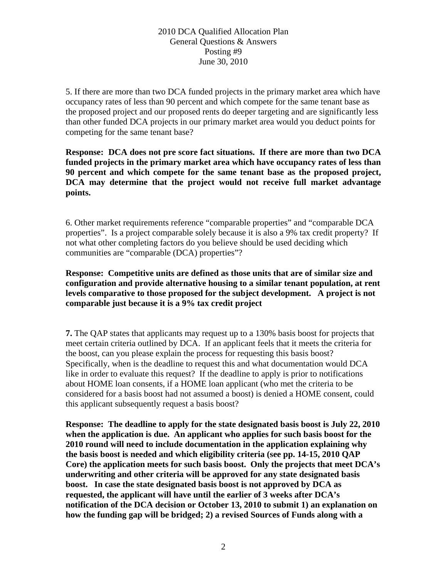5. If there are more than two DCA funded projects in the primary market area which have occupancy rates of less than 90 percent and which compete for the same tenant base as the proposed project and our proposed rents do deeper targeting and are significantly less than other funded DCA projects in our primary market area would you deduct points for competing for the same tenant base?

**Response: DCA does not pre score fact situations. If there are more than two DCA funded projects in the primary market area which have occupancy rates of less than 90 percent and which compete for the same tenant base as the proposed project, DCA may determine that the project would not receive full market advantage points.** 

6. Other market requirements reference "comparable properties" and "comparable DCA properties". Is a project comparable solely because it is also a 9% tax credit property? If not what other completing factors do you believe should be used deciding which communities are "comparable (DCA) properties"?

**Response: Competitive units are defined as those units that are of similar size and configuration and provide alternative housing to a similar tenant population, at rent levels comparative to those proposed for the subject development. A project is not comparable just because it is a 9% tax credit project** 

**7.** The QAP states that applicants may request up to a 130% basis boost for projects that meet certain criteria outlined by DCA. If an applicant feels that it meets the criteria for the boost, can you please explain the process for requesting this basis boost? Specifically, when is the deadline to request this and what documentation would DCA like in order to evaluate this request? If the deadline to apply is prior to notifications about HOME loan consents, if a HOME loan applicant (who met the criteria to be considered for a basis boost had not assumed a boost) is denied a HOME consent, could this applicant subsequently request a basis boost?

**Response: The deadline to apply for the state designated basis boost is July 22, 2010 when the application is due. An applicant who applies for such basis boost for the 2010 round will need to include documentation in the application explaining why the basis boost is needed and which eligibility criteria (see pp. 14-15, 2010 QAP Core) the application meets for such basis boost. Only the projects that meet DCA's underwriting and other criteria will be approved for any state designated basis boost. In case the state designated basis boost is not approved by DCA as requested, the applicant will have until the earlier of 3 weeks after DCA's notification of the DCA decision or October 13, 2010 to submit 1) an explanation on how the funding gap will be bridged; 2) a revised Sources of Funds along with a**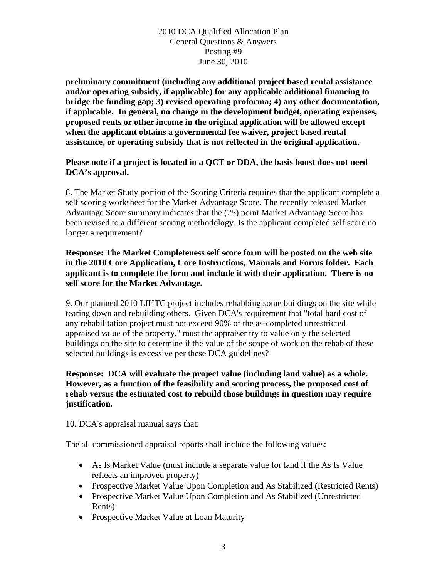**preliminary commitment (including any additional project based rental assistance and/or operating subsidy, if applicable) for any applicable additional financing to bridge the funding gap; 3) revised operating proforma; 4) any other documentation, if applicable. In general, no change in the development budget, operating expenses, proposed rents or other income in the original application will be allowed except when the applicant obtains a governmental fee waiver, project based rental assistance, or operating subsidy that is not reflected in the original application.** 

#### **Please note if a project is located in a QCT or DDA, the basis boost does not need DCA's approval.**

8. The Market Study portion of the Scoring Criteria requires that the applicant complete a self scoring worksheet for the Market Advantage Score. The recently released Market Advantage Score summary indicates that the (25) point Market Advantage Score has been revised to a different scoring methodology. Is the applicant completed self score no longer a requirement?

**Response: The Market Completeness self score form will be posted on the web site in the 2010 Core Application, Core Instructions, Manuals and Forms folder. Each applicant is to complete the form and include it with their application. There is no self score for the Market Advantage.** 

9. Our planned 2010 LIHTC project includes rehabbing some buildings on the site while tearing down and rebuilding others. Given DCA's requirement that "total hard cost of any rehabilitation project must not exceed 90% of the as-completed unrestricted appraised value of the property," must the appraiser try to value only the selected buildings on the site to determine if the value of the scope of work on the rehab of these selected buildings is excessive per these DCA guidelines?

# **Response: DCA will evaluate the project value (including land value) as a whole. However, as a function of the feasibility and scoring process, the proposed cost of rehab versus the estimated cost to rebuild those buildings in question may require justification.**

10. DCA's appraisal manual says that:

The all commissioned appraisal reports shall include the following values:

- As Is Market Value (must include a separate value for land if the As Is Value reflects an improved property)
- Prospective Market Value Upon Completion and As Stabilized (Restricted Rents)
- Prospective Market Value Upon Completion and As Stabilized (Unrestricted Rents)
- Prospective Market Value at Loan Maturity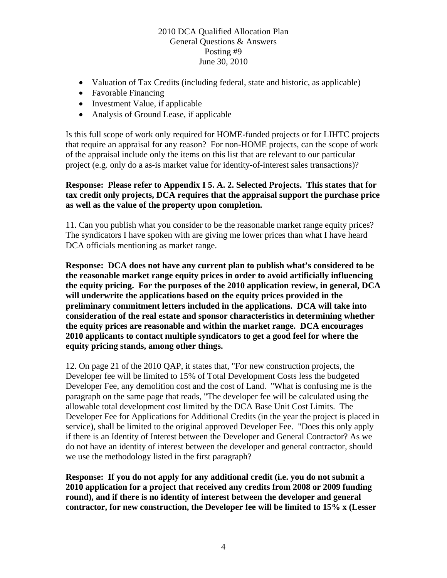- Valuation of Tax Credits (including federal, state and historic, as applicable)
- Favorable Financing
- Investment Value, if applicable
- Analysis of Ground Lease, if applicable

Is this full scope of work only required for HOME-funded projects or for LIHTC projects that require an appraisal for any reason? For non-HOME projects, can the scope of work of the appraisal include only the items on this list that are relevant to our particular project (e.g. only do a as-is market value for identity-of-interest sales transactions)?

# **Response: Please refer to Appendix I 5. A. 2. Selected Projects. This states that for tax credit only projects, DCA requires that the appraisal support the purchase price as well as the value of the property upon completion.**

11. Can you publish what you consider to be the reasonable market range equity prices? The syndicators I have spoken with are giving me lower prices than what I have heard DCA officials mentioning as market range.

**Response: DCA does not have any current plan to publish what's considered to be the reasonable market range equity prices in order to avoid artificially influencing the equity pricing. For the purposes of the 2010 application review, in general, DCA will underwrite the applications based on the equity prices provided in the preliminary commitment letters included in the applications. DCA will take into consideration of the real estate and sponsor characteristics in determining whether the equity prices are reasonable and within the market range. DCA encourages 2010 applicants to contact multiple syndicators to get a good feel for where the equity pricing stands, among other things.** 

12. On page 21 of the 2010 QAP, it states that, "For new construction projects, the Developer fee will be limited to 15% of Total Development Costs less the budgeted Developer Fee, any demolition cost and the cost of Land. "What is confusing me is the paragraph on the same page that reads, "The developer fee will be calculated using the allowable total development cost limited by the DCA Base Unit Cost Limits. The Developer Fee for Applications for Additional Credits (in the year the project is placed in service), shall be limited to the original approved Developer Fee. "Does this only apply if there is an Identity of Interest between the Developer and General Contractor? As we do not have an identity of interest between the developer and general contractor, should we use the methodology listed in the first paragraph?

**Response: If you do not apply for any additional credit (i.e. you do not submit a 2010 application for a project that received any credits from 2008 or 2009 funding round), and if there is no identity of interest between the developer and general contractor, for new construction, the Developer fee will be limited to 15% x (Lesser**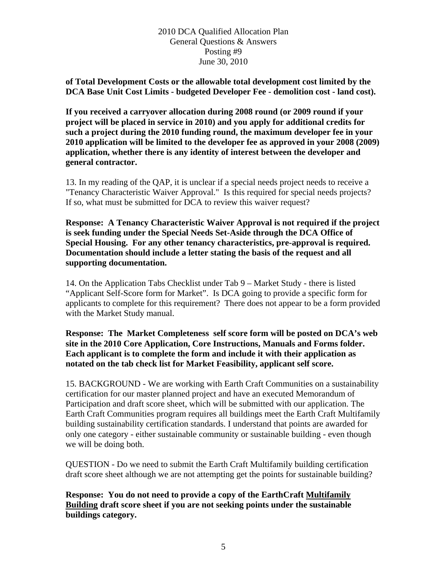**of Total Development Costs or the allowable total development cost limited by the DCA Base Unit Cost Limits - budgeted Developer Fee - demolition cost - land cost).** 

**If you received a carryover allocation during 2008 round (or 2009 round if your project will be placed in service in 2010) and you apply for additional credits for such a project during the 2010 funding round, the maximum developer fee in your 2010 application will be limited to the developer fee as approved in your 2008 (2009) application, whether there is any identity of interest between the developer and general contractor.** 

13. In my reading of the QAP, it is unclear if a special needs project needs to receive a "Tenancy Characteristic Waiver Approval." Is this required for special needs projects? If so, what must be submitted for DCA to review this waiver request?

**Response: A Tenancy Characteristic Waiver Approval is not required if the project is seek funding under the Special Needs Set-Aside through the DCA Office of Special Housing. For any other tenancy characteristics, pre-approval is required. Documentation should include a letter stating the basis of the request and all supporting documentation.** 

14. On the Application Tabs Checklist under Tab 9 – Market Study - there is listed "Applicant Self-Score form for Market". Is DCA going to provide a specific form for applicants to complete for this requirement? There does not appear to be a form provided with the Market Study manual.

**Response: The Market Completeness self score form will be posted on DCA's web site in the 2010 Core Application, Core Instructions, Manuals and Forms folder. Each applicant is to complete the form and include it with their application as notated on the tab check list for Market Feasibility, applicant self score.** 

15. BACKGROUND - We are working with Earth Craft Communities on a sustainability certification for our master planned project and have an executed Memorandum of Participation and draft score sheet, which will be submitted with our application. The Earth Craft Communities program requires all buildings meet the Earth Craft Multifamily building sustainability certification standards. I understand that points are awarded for only one category - either sustainable community or sustainable building - even though we will be doing both.

QUESTION - Do we need to submit the Earth Craft Multifamily building certification draft score sheet although we are not attempting get the points for sustainable building?

**Response: You do not need to provide a copy of the EarthCraft Multifamily Building draft score sheet if you are not seeking points under the sustainable buildings category.**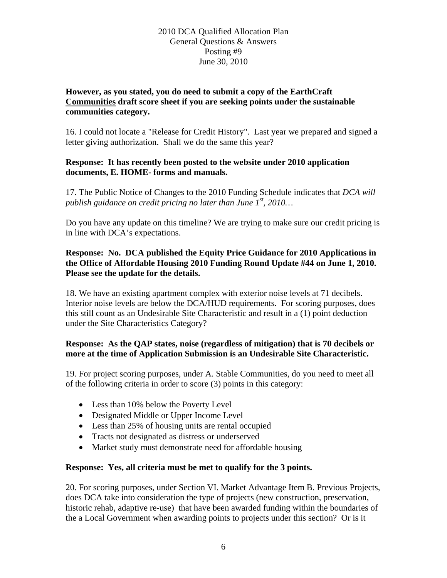# **However, as you stated, you do need to submit a copy of the EarthCraft Communities draft score sheet if you are seeking points under the sustainable communities category.**

16. I could not locate a "Release for Credit History". Last year we prepared and signed a letter giving authorization. Shall we do the same this year?

### **Response: It has recently been posted to the website under 2010 application documents, E. HOME- forms and manuals.**

17. The Public Notice of Changes to the 2010 Funding Schedule indicates that *DCA will publish guidance on credit pricing no later than June 1st, 2010…*

Do you have any update on this timeline? We are trying to make sure our credit pricing is in line with DCA's expectations.

# **Response: No. DCA published the Equity Price Guidance for 2010 Applications in the Office of Affordable Housing 2010 Funding Round Update #44 on June 1, 2010. Please see the update for the details.**

18. We have an existing apartment complex with exterior noise levels at 71 decibels. Interior noise levels are below the DCA/HUD requirements. For scoring purposes, does this still count as an Undesirable Site Characteristic and result in a (1) point deduction under the Site Characteristics Category?

# **Response: As the QAP states, noise (regardless of mitigation) that is 70 decibels or more at the time of Application Submission is an Undesirable Site Characteristic.**

19. For project scoring purposes, under A. Stable Communities, do you need to meet all of the following criteria in order to score (3) points in this category:

- Less than 10% below the Poverty Level
- Designated Middle or Upper Income Level
- Less than 25% of housing units are rental occupied
- Tracts not designated as distress or underserved
- Market study must demonstrate need for affordable housing

# **Response: Yes, all criteria must be met to qualify for the 3 points.**

20. For scoring purposes, under Section VI. Market Advantage Item B. Previous Projects, does DCA take into consideration the type of projects (new construction, preservation, historic rehab, adaptive re-use) that have been awarded funding within the boundaries of the a Local Government when awarding points to projects under this section? Or is it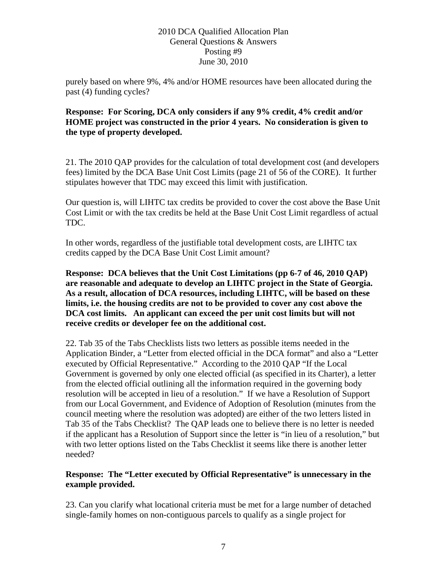purely based on where 9%, 4% and/or HOME resources have been allocated during the past (4) funding cycles?

# **Response: For Scoring, DCA only considers if any 9% credit, 4% credit and/or HOME project was constructed in the prior 4 years. No consideration is given to the type of property developed.**

21. The 2010 QAP provides for the calculation of total development cost (and developers fees) limited by the DCA Base Unit Cost Limits (page 21 of 56 of the CORE). It further stipulates however that TDC may exceed this limit with justification.

Our question is, will LIHTC tax credits be provided to cover the cost above the Base Unit Cost Limit or with the tax credits be held at the Base Unit Cost Limit regardless of actual TDC.

In other words, regardless of the justifiable total development costs, are LIHTC tax credits capped by the DCA Base Unit Cost Limit amount?

**Response: DCA believes that the Unit Cost Limitations (pp 6-7 of 46, 2010 QAP) are reasonable and adequate to develop an LIHTC project in the State of Georgia. As a result, allocation of DCA resources, including LIHTC, will be based on these limits, i.e. the housing credits are not to be provided to cover any cost above the DCA cost limits. An applicant can exceed the per unit cost limits but will not receive credits or developer fee on the additional cost.** 

22. Tab 35 of the Tabs Checklists lists two letters as possible items needed in the Application Binder, a "Letter from elected official in the DCA format" and also a "Letter executed by Official Representative." According to the 2010 QAP "If the Local Government is governed by only one elected official (as specified in its Charter), a letter from the elected official outlining all the information required in the governing body resolution will be accepted in lieu of a resolution." If we have a Resolution of Support from our Local Government, and Evidence of Adoption of Resolution (minutes from the council meeting where the resolution was adopted) are either of the two letters listed in Tab 35 of the Tabs Checklist? The QAP leads one to believe there is no letter is needed if the applicant has a Resolution of Support since the letter is "in lieu of a resolution," but with two letter options listed on the Tabs Checklist it seems like there is another letter needed?

# **Response: The "Letter executed by Official Representative" is unnecessary in the example provided.**

23. Can you clarify what locational criteria must be met for a large number of detached single-family homes on non-contiguous parcels to qualify as a single project for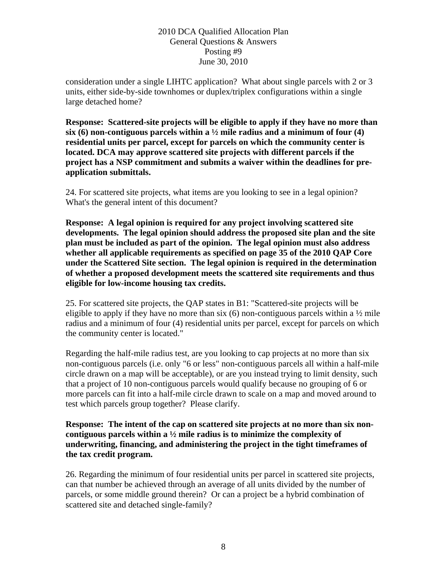consideration under a single LIHTC application? What about single parcels with 2 or 3 units, either side-by-side townhomes or duplex/triplex configurations within a single large detached home?

**Response: Scattered-site projects will be eligible to apply if they have no more than six (6) non-contiguous parcels within a ½ mile radius and a minimum of four (4) residential units per parcel, except for parcels on which the community center is located. DCA may approve scattered site projects with different parcels if the project has a NSP commitment and submits a waiver within the deadlines for preapplication submittals.** 

24. For scattered site projects, what items are you looking to see in a legal opinion? What's the general intent of this document?

**Response: A legal opinion is required for any project involving scattered site developments. The legal opinion should address the proposed site plan and the site plan must be included as part of the opinion. The legal opinion must also address whether all applicable requirements as specified on page 35 of the 2010 QAP Core under the Scattered Site section. The legal opinion is required in the determination of whether a proposed development meets the scattered site requirements and thus eligible for low-income housing tax credits.** 

25. For scattered site projects, the QAP states in B1: "Scattered-site projects will be eligible to apply if they have no more than six  $(6)$  non-contiguous parcels within a  $\frac{1}{2}$  mile radius and a minimum of four (4) residential units per parcel, except for parcels on which the community center is located."

Regarding the half-mile radius test, are you looking to cap projects at no more than six non-contiguous parcels (i.e. only "6 or less" non-contiguous parcels all within a half-mile circle drawn on a map will be acceptable), or are you instead trying to limit density, such that a project of 10 non-contiguous parcels would qualify because no grouping of 6 or more parcels can fit into a half-mile circle drawn to scale on a map and moved around to test which parcels group together? Please clarify.

**Response: The intent of the cap on scattered site projects at no more than six noncontiguous parcels within a ½ mile radius is to minimize the complexity of underwriting, financing, and administering the project in the tight timeframes of the tax credit program.** 

26. Regarding the minimum of four residential units per parcel in scattered site projects, can that number be achieved through an average of all units divided by the number of parcels, or some middle ground therein? Or can a project be a hybrid combination of scattered site and detached single-family?